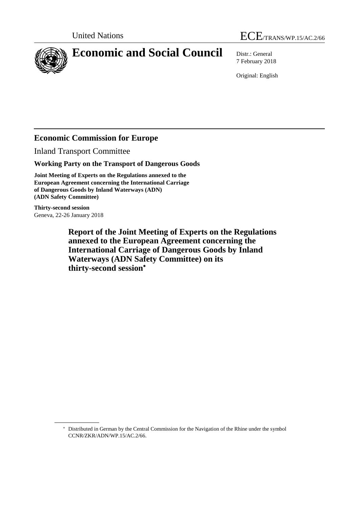



7 February 2018

Original: English

# **Economic Commission for Europe**

Inland Transport Committee

**Working Party on the Transport of Dangerous Goods**

**Joint Meeting of Experts on the Regulations annexed to the European Agreement concerning the International Carriage of Dangerous Goods by Inland Waterways (ADN) (ADN Safety Committee)**

**Thirty-second session** Geneva, 22-26 January 2018

> **Report of the Joint Meeting of Experts on the Regulations annexed to the European Agreement concerning the International Carriage of Dangerous Goods by Inland Waterways (ADN Safety Committee) on its thirty-second session**

Distributed in German by the Central Commission for the Navigation of the Rhine under the symbol CCNR/ZKR/ADN/WP.15/AC.2/66.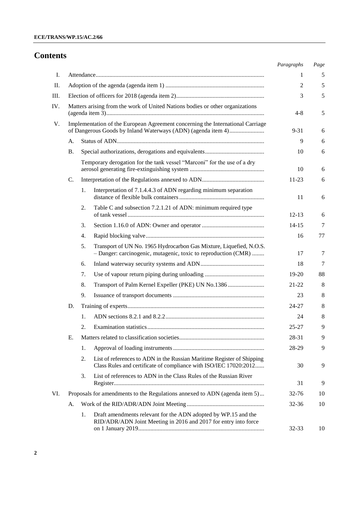# **Contents**

|    |                                                                            |                  |                                                                                                                                             | Paragraphs | Page |
|----|----------------------------------------------------------------------------|------------------|---------------------------------------------------------------------------------------------------------------------------------------------|------------|------|
| I. |                                                                            |                  |                                                                                                                                             | 1          | 5    |
| П. |                                                                            |                  |                                                                                                                                             | 2          | 5    |
|    |                                                                            |                  |                                                                                                                                             | 3          | 5    |
|    |                                                                            |                  | Matters arising from the work of United Nations bodies or other organizations                                                               | $4 - 8$    | 5    |
| V. |                                                                            |                  | Implementation of the European Agreement concerning the International Carriage                                                              | $9 - 31$   | 6    |
|    | A.                                                                         |                  |                                                                                                                                             | 9          | 6    |
|    | <b>B.</b>                                                                  |                  |                                                                                                                                             | 10         | 6    |
|    |                                                                            |                  | Temporary derogation for the tank vessel "Marconi" for the use of a dry                                                                     | 10         | 6    |
|    | C.                                                                         |                  |                                                                                                                                             | 11-23      | 6    |
|    |                                                                            | 1.               | Interpretation of 7.1.4.4.3 of ADN regarding minimum separation                                                                             | 11         | 6    |
|    |                                                                            | 2.               | Table C and subsection 7.2.1.21 of ADN: minimum required type                                                                               | $12 - 13$  | 6    |
|    |                                                                            | 3.               |                                                                                                                                             | $14 - 15$  | 7    |
|    |                                                                            | $\overline{4}$ . |                                                                                                                                             | 16         | 77   |
|    |                                                                            | 5.               | Transport of UN No. 1965 Hydrocarbon Gas Mixture, Liquefied, N.O.S.<br>- Danger: carcinogenic, mutagenic, toxic to reproduction (CMR)       | 17         | 7    |
|    |                                                                            | 6.               |                                                                                                                                             | 18         | 7    |
|    |                                                                            | 7.               |                                                                                                                                             | 19-20      | 88   |
|    |                                                                            | 8.               | Transport of Palm Kernel Expeller (PKE) UN No.1386                                                                                          | $21 - 22$  | 8    |
|    |                                                                            | 9.               |                                                                                                                                             | 23         | 8    |
|    | D.                                                                         |                  |                                                                                                                                             | $24 - 27$  | 8    |
|    |                                                                            | 1.               |                                                                                                                                             | 24         | 8    |
|    |                                                                            | 2.               |                                                                                                                                             | $25 - 27$  | 9    |
|    | Е.                                                                         |                  |                                                                                                                                             | 28-31      | 9    |
|    |                                                                            | 1.               |                                                                                                                                             | 28-29      | 9    |
|    |                                                                            | 2.               | List of references to ADN in the Russian Maritime Register of Shipping<br>Class Rules and certificate of compliance with ISO/IEC 17020:2012 | 30         | 9    |
|    |                                                                            | 3.               | List of references to ADN in the Class Rules of the Russian River                                                                           | 31         | 9    |
|    | Proposals for amendments to the Regulations annexed to ADN (agenda item 5) |                  | 32-76                                                                                                                                       | 10         |      |
|    | A.                                                                         |                  | $32 - 36$                                                                                                                                   | 10         |      |
|    |                                                                            | 1.               | Draft amendments relevant for the ADN adopted by WP.15 and the<br>RID/ADR/ADN Joint Meeting in 2016 and 2017 for entry into force           | 32-33      | 10   |
|    |                                                                            |                  |                                                                                                                                             |            |      |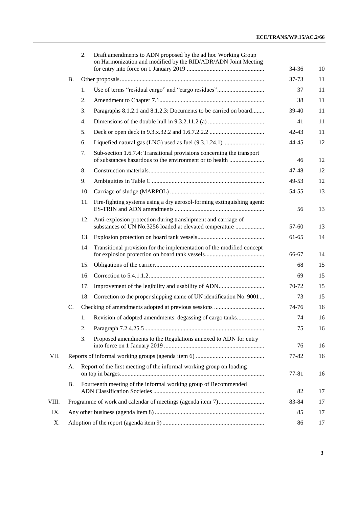|       |                                                                            | 2.  | Draft amendments to ADN proposed by the ad hoc Working Group<br>on Harmonization and modified by the RID/ADR/ADN Joint Meeting   | 34-36     | 10 |
|-------|----------------------------------------------------------------------------|-----|----------------------------------------------------------------------------------------------------------------------------------|-----------|----|
|       | <b>B.</b>                                                                  |     |                                                                                                                                  | 37-73     | 11 |
|       |                                                                            | 1.  | Use of terms "residual cargo" and "cargo residues"                                                                               | 37        | 11 |
|       |                                                                            | 2.  |                                                                                                                                  | 38        | 11 |
|       |                                                                            | 3.  | Paragraphs 8.1.2.1 and 8.1.2.3: Documents to be carried on board                                                                 | $39-40$   | 11 |
|       |                                                                            | 4.  |                                                                                                                                  | 41        | 11 |
|       |                                                                            | 5.  |                                                                                                                                  | $42 - 43$ | 11 |
|       |                                                                            | 6.  |                                                                                                                                  | 44-45     | 12 |
|       |                                                                            | 7.  | Sub-section 1.6.7.4: Transitional provisions concerning the transport<br>of substances hazardous to the environment or to health | 46        | 12 |
|       |                                                                            | 8.  |                                                                                                                                  | 47-48     | 12 |
|       |                                                                            | 9.  |                                                                                                                                  | 49-53     | 12 |
|       |                                                                            | 10. |                                                                                                                                  | 54-55     | 13 |
|       |                                                                            | 11. | Fire-fighting systems using a dry aerosol-forming extinguishing agent:                                                           | 56        | 13 |
|       |                                                                            |     | 12. Anti-explosion protection during transhipment and carriage of<br>substances of UN No.3256 loaded at elevated temperature     | $57 - 60$ | 13 |
|       |                                                                            |     |                                                                                                                                  | 61-65     | 14 |
|       |                                                                            |     | 14. Transitional provision for the implementation of the modified concept                                                        | 66-67     | 14 |
|       |                                                                            | 15. |                                                                                                                                  | 68        | 15 |
|       |                                                                            | 16. |                                                                                                                                  | 69        | 15 |
|       |                                                                            | 17. |                                                                                                                                  | 70-72     | 15 |
|       |                                                                            | 18. | Correction to the proper shipping name of UN identification No. 9001                                                             | 73        | 15 |
|       | C.                                                                         |     |                                                                                                                                  | 74-76     | 16 |
|       |                                                                            | 1.  | Revision of adopted amendments: degassing of cargo tanks                                                                         | 74        | 16 |
|       |                                                                            | 2.  |                                                                                                                                  | 75        | 16 |
|       |                                                                            | 3.  | Proposed amendments to the Regulations annexed to ADN for entry                                                                  | 76        | 16 |
| VII.  |                                                                            |     | 77-82                                                                                                                            | 16        |    |
|       | Report of the first meeting of the informal working group on loading<br>А. |     | 77-81                                                                                                                            | 16        |    |
|       | Β.                                                                         |     | Fourteenth meeting of the informal working group of Recommended                                                                  | 82        | 17 |
| VIII. |                                                                            |     |                                                                                                                                  | 83-84     | 17 |
| IX.   |                                                                            |     |                                                                                                                                  | 85        | 17 |
| Χ.    |                                                                            |     |                                                                                                                                  | 86        | 17 |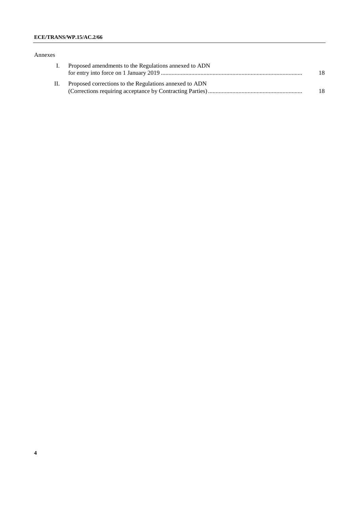### **ECE/TRANS/WP.15/AC.2/66**

#### Annexes

| I. Proposed amendments to the Regulations annexed to ADN   |    |
|------------------------------------------------------------|----|
|                                                            | 18 |
| II. Proposed corrections to the Regulations annexed to ADN |    |
|                                                            | 18 |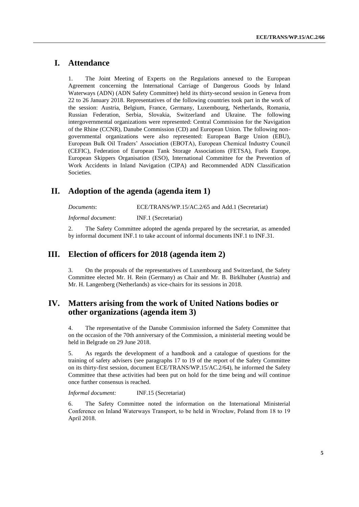# **I. Attendance**

1. The Joint Meeting of Experts on the Regulations annexed to the European Agreement concerning the International Carriage of Dangerous Goods by Inland Waterways (ADN) (ADN Safety Committee) held its thirty-second session in Geneva from 22 to 26 January 2018. Representatives of the following countries took part in the work of the session: Austria, Belgium, France, Germany, Luxembourg, Netherlands, Romania, Russian Federation, Serbia, Slovakia, Switzerland and Ukraine. The following intergovernmental organizations were represented: Central Commission for the Navigation of the Rhine (CCNR), Danube Commission (CD) and European Union. The following nongovernmental organizations were also represented: European Barge Union (EBU), European Bulk Oil Traders' Association (EBOTA), European Chemical Industry Council (CEFIC), Federation of European Tank Storage Associations (FETSA), Fuels Europe, European Skippers Organisation (ESO), International Committee for the Prevention of Work Accidents in Inland Navigation (CIPA) and Recommended ADN Classification Societies.

# **II. Adoption of the agenda (agenda item 1)**

*Documents*: ECE/TRANS/WP.15/AC.2/65 and Add.1 (Secretariat) *Informal document*: INF.1 (Secretariat)

2. The Safety Committee adopted the agenda prepared by the secretariat, as amended by informal document INF.1 to take account of informal documents INF.1 to INF.31.

# **III. Election of officers for 2018 (agenda item 2)**

3. On the proposals of the representatives of Luxembourg and Switzerland, the Safety Committee elected Mr. H. Rein (Germany) as Chair and Mr. B. Birklhuber (Austria) and Mr. H. Langenberg (Netherlands) as vice-chairs for its sessions in 2018.

# **IV. Matters arising from the work of United Nations bodies or other organizations (agenda item 3)**

4. The representative of the Danube Commission informed the Safety Committee that on the occasion of the 70th anniversary of the Commission, a ministerial meeting would be held in Belgrade on 29 June 2018.

5. As regards the development of a handbook and a catalogue of questions for the training of safety advisers (see paragraphs 17 to 19 of the report of the Safety Committee on its thirty-first session, document ECE/TRANS/WP.15/AC.2/64), he informed the Safety Committee that these activities had been put on hold for the time being and will continue once further consensus is reached.

*Informal document:* INF.15 (Secretariat)

6. The Safety Committee noted the information on the International Ministerial Conference on Inland Waterways Transport, to be held in Wrocław, Poland from 18 to 19 April 2018.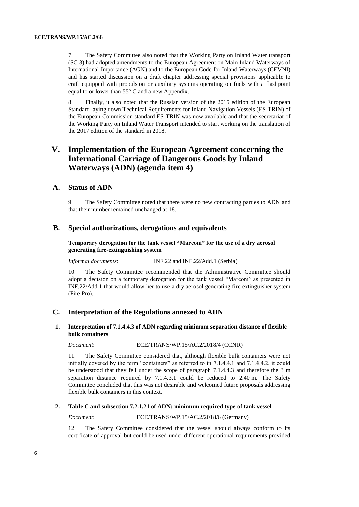7. The Safety Committee also noted that the Working Party on Inland Water transport (SC.3) had adopted amendments to the European Agreement on Main Inland Waterways of International Importance (AGN) and to the European Code for Inland Waterways (CEVNI) and has started discussion on a draft chapter addressing special provisions applicable to craft equipped with propulsion or auxiliary systems operating on fuels with a flashpoint equal to or lower than 55° C and a new Appendix.

8. Finally, it also noted that the Russian version of the 2015 edition of the European Standard laying down Technical Requirements for Inland Navigation Vessels (ES-TRIN) of the European Commission standard ES-TRIN was now available and that the secretariat of the Working Party on Inland Water Transport intended to start working on the translation of the 2017 edition of the standard in 2018.

# **V. Implementation of the European Agreement concerning the International Carriage of Dangerous Goods by Inland Waterways (ADN) (agenda item 4)**

### **A. Status of ADN**

9. The Safety Committee noted that there were no new contracting parties to ADN and that their number remained unchanged at 18.

### **B. Special authorizations, derogations and equivalents**

**Temporary derogation for the tank vessel "Marconi" for the use of a dry aerosol generating fire-extinguishing system**

*Informal documents*: INF.22 and INF.22/Add.1 (Serbia)

10. The Safety Committee recommended that the Administrative Committee should adopt a decision on a temporary derogation for the tank vessel "Marconi" as presented in INF.22/Add.1 that would allow her to use a dry aerosol generating fire extinguisher system (Fire Pro).

#### **C. Interpretation of the Regulations annexed to ADN**

### **1. Interpretation of 7.1.4.4.3 of ADN regarding minimum separation distance of flexible bulk containers**

*Document*: ECE/TRANS/WP.15/AC.2/2018/4 (CCNR)

11. The Safety Committee considered that, although flexible bulk containers were not initially covered by the term "containers" as referred to in 7.1.4.4.1 and 7.1.4.4.2, it could be understood that they fell under the scope of paragraph 7.1.4.4.3 and therefore the 3 m separation distance required by 7.1.4.3.1 could be reduced to 2.40 m. The Safety Committee concluded that this was not desirable and welcomed future proposals addressing flexible bulk containers in this context.

#### **2. Table C and subsection 7.2.1.21 of ADN: minimum required type of tank vessel**

### *Document*: ECE/TRANS/WP.15/AC.2/2018/6 (Germany)

12. The Safety Committee considered that the vessel should always conform to its certificate of approval but could be used under different operational requirements provided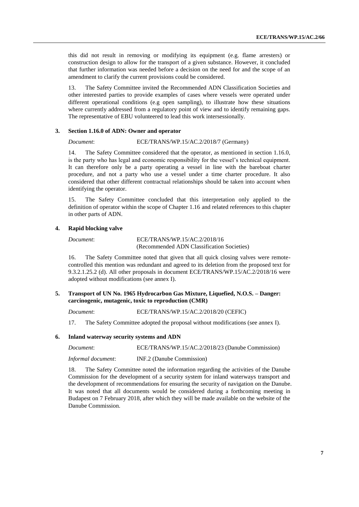this did not result in removing or modifying its equipment (e.g. flame arresters) or construction design to allow for the transport of a given substance. However, it concluded that further information was needed before a decision on the need for and the scope of an amendment to clarify the current provisions could be considered.

13. The Safety Committee invited the Recommended ADN Classification Societies and other interested parties to provide examples of cases where vessels were operated under different operational conditions (e.g open sampling), to illustrate how these situations where currently addressed from a regulatory point of view and to identify remaining gaps. The representative of EBU volunteered to lead this work intersessionally.

#### **3. Section 1.16.0 of ADN: Owner and operator**

# *Document*: ECE/TRANS/WP.15/AC.2/2018/7 (Germany)

14. The Safety Committee considered that the operator, as mentioned in section 1.16.0, is the party who has legal and economic responsibility for the vessel's technical equipment. It can therefore only be a party operating a vessel in line with the bareboat charter procedure, and not a party who use a vessel under a time charter procedure. It also considered that other different contractual relationships should be taken into account when identifying the operator.

15. The Safety Committee concluded that this interpretation only applied to the definition of operator within the scope of Chapter 1.16 and related references to this chapter in other parts of ADN.

#### <span id="page-6-0"></span>**4. Rapid blocking valve**

#### *Document*: ECE/TRANS/WP.15/AC.2/2018/16 (Recommended ADN Classification Societies)

16. The Safety Committee noted that given that all quick closing valves were remotecontrolled this mention was redundant and agreed to its deletion from the proposed text for 9.3.2.1.25.2 (d). All other proposals in document ECE/TRANS/WP.15/AC.2/2018/16 were adopted without modifications (see annex I).

#### **5. Transport of UN No. 1965 Hydrocarbon Gas Mixture, Liquefied, N.O.S. – Danger: carcinogenic, mutagenic, toxic to reproduction (CMR)**

*Document*: ECE/TRANS/WP.15/AC.2/2018/20 (CEFIC)

17. The Safety Committee adopted the proposal without modifications (see annex I).

#### **6. Inland waterway security systems and ADN**

| Document:          | ECE/TRANS/WP.15/AC.2/2018/23 (Danube Commission) |
|--------------------|--------------------------------------------------|
| Informal document: | INF.2 (Danube Commission)                        |

18. The Safety Committee noted the information regarding the activities of the Danube Commission for the development of a security system for inland waterways transport and the development of recommendations for ensuring the security of navigation on the Danube. It was noted that all documents would be considered during a forthcoming meeting in Budapest on 7 February 2018, after which they will be made available on the website of the Danube Commission.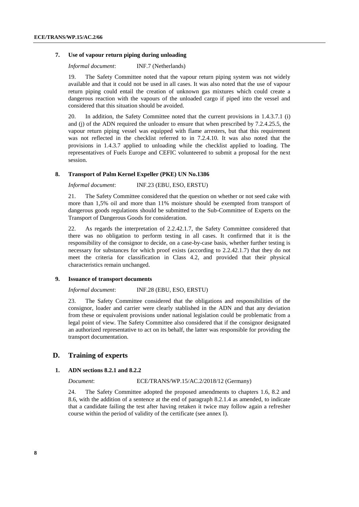#### <span id="page-7-0"></span>**7. Use of vapour return piping during unloading**

*Informal document*: INF.7 (Netherlands)

19. The Safety Committee noted that the vapour return piping system was not widely available and that it could not be used in all cases. It was also noted that the use of vapour return piping could entail the creation of unknown gas mixtures which could create a dangerous reaction with the vapours of the unloaded cargo if piped into the vessel and considered that this situation should be avoided.

20. In addition, the Safety Committee noted that the current provisions in 1.4.3.7.1 (i) and (j) of the ADN required the unloader to ensure that when prescribed by 7.2.4.25.5, the vapour return piping vessel was equipped with flame arresters, but that this requirement was not reflected in the checklist referred to in 7.2.4.10. It was also noted that the provisions in 1.4.3.7 applied to unloading while the checklist applied to loading. The representatives of Fuels Europe and CEFIC volunteered to submit a proposal for the next session.

#### **8. Transport of Palm Kernel Expeller (PKE) UN No.1386**

*Informal document*: INF.23 (EBU, ESO, ERSTU)

21. The Safety Committee considered that the question on whether or not seed cake with more than 1,5% oil and more than 11% moisture should be exempted from transport of dangerous goods regulations should be submitted to the Sub-Committee of Experts on the Transport of Dangerous Goods for consideration.

22. As regards the interpretation of 2.2.42.1.7, the Safety Committee considered that there was no obligation to perform testing in all cases. It confirmed that it is the responsibility of the consignor to decide, on a case-by-case basis, whether further testing is necessary for substances for which proof exists (according to 2.2.42.1.7) that they do not meet the criteria for classification in Class 4.2, and provided that their physical characteristics remain unchanged.

#### **9. Issuance of transport documents**

#### *Informal document*: INF.28 (EBU, ESO, ERSTU)

23. The Safety Committee considered that the obligations and responsibilities of the consignor, loader and carrier were clearly stablished in the ADN and that any deviation from these or equivalent provisions under national legislation could be problematic from a legal point of view. The Safety Committee also considered that if the consignor designated an authorized representative to act on its behalf, the latter was responsible for providing the transport documentation.

### **D. Training of experts**

#### **1. ADN sections 8.2.1 and 8.2.2**

*Document*: ECE/TRANS/WP.15/AC.2/2018/12 (Germany)

24. The Safety Committee adopted the proposed amendments to chapters 1.6, 8.2 and 8.6, with the addition of a sentence at the end of paragraph 8.2.1.4 as amended, to indicate that a candidate failing the test after having retaken it twice may follow again a refresher course within the period of validity of the certificate (see annex I).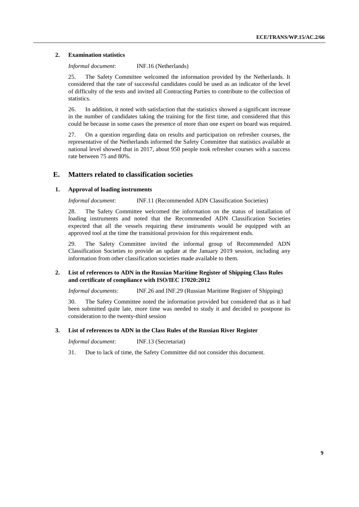### **2. Examination statistics**

*Informal document*: INF.16 (Netherlands)

25. The Safety Committee welcomed the information provided by the Netherlands. It considered that the rate of successful candidates could be used as an indicator of the level of difficulty of the tests and invited all Contracting Parties to contribute to the collection of statistics.

26. In addition, it noted with satisfaction that the statistics showed a significant increase in the number of candidates taking the training for the first time, and considered that this could be because in some cases the presence of more than one expert on board was required.

27. On a question regarding data on results and participation on refresher courses, the representative of the Netherlands informed the Safety Committee that statistics available at national level showed that in 2017, about 950 people took refresher courses with a success rate between 75 and 80%.

### **E. Matters related to classification societies**

### **1. Approval of loading instruments**

*Informal document*: INF.11 (Recommended ADN Classification Societies)

28. The Safety Committee welcomed the information on the status of installation of loading instruments and noted that the Recommended ADN Classification Societies expected that all the vessels requiring these instruments would be equipped with an approved tool at the time the transitional provision for this requirement ends.

29. The Safety Committee invited the informal group of Recommended ADN Classification Societies to provide an update at the January 2019 session, including any information from other classification societies made available to them.

### **2. List of references to ADN in the Russian Maritime Register of Shipping Class Rules and certificate of compliance with ISO/IEC 17020:2012**

*Informal documents*: INF.26 and INF.29 (Russian Maritime Register of Shipping)

30. The Safety Committee noted the information provided but considered that as it had been submitted quite late, more time was needed to study it and decided to postpone its consideration to the twenty-third session

### **3. List of references to ADN in the Class Rules of the Russian River Register**

*Informal document*: INF.13 (Secretariat)

31. Due to lack of time, the Safety Committee did not consider this document.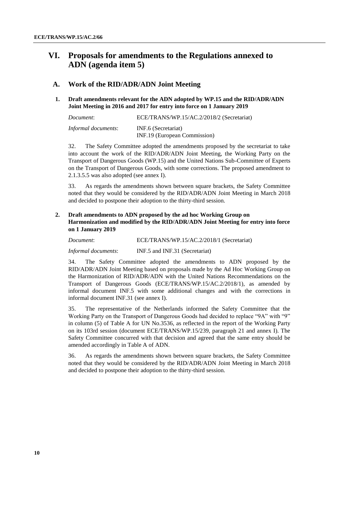# **VI. Proposals for amendments to the Regulations annexed to ADN (agenda item 5)**

### **A. Work of the RID/ADR/ADN Joint Meeting**

### **1. Draft amendments relevant for the ADN adopted by WP.15 and the RID/ADR/ADN Joint Meeting in 2016 and 2017 for entry into force on 1 January 2019**

| Document:                  | ECE/TRANS/WP.15/AC.2/2018/2 (Secretariat) |  |
|----------------------------|-------------------------------------------|--|
| <i>Informal documents:</i> | INF.6 (Secretariat)                       |  |
|                            | INF.19 (European Commission)              |  |

32. The Safety Committee adopted the amendments proposed by the secretariat to take into account the work of the RID/ADR/ADN Joint Meeting, the Working Party on the Transport of Dangerous Goods (WP.15) and the United Nations Sub-Committee of Experts on the Transport of Dangerous Goods, with some corrections. The proposed amendment to 2.1.3.5.5 was also adopted (see annex I).

33. As regards the amendments shown between square brackets, the Safety Committee noted that they would be considered by the RID/ADR/ADN Joint Meeting in March 2018 and decided to postpone their adoption to the thirty-third session.

### **2. Draft amendments to ADN proposed by the ad hoc Working Group on Harmonization and modified by the RID/ADR/ADN Joint Meeting for entry into force on 1 January 2019**

| Document:           | ECE/TRANS/WP.15/AC.2/2018/1 (Secretariat) |
|---------------------|-------------------------------------------|
| Informal documents: | INF.5 and INF.31 (Secretariat)            |

34. The Safety Committee adopted the amendments to ADN proposed by the RID/ADR/ADN Joint Meeting based on proposals made by the Ad Hoc Working Group on the Harmonization of RID/ADR/ADN with the United Nations Recommendations on the Transport of Dangerous Goods (ECE/TRANS/WP.15/AC.2/2018/1), as amended by informal document INF.5 with some additional changes and with the corrections in informal document INF.31 (see annex I).

35. The representative of the Netherlands informed the Safety Committee that the Working Party on the Transport of Dangerous Goods had decided to replace "9A" with "9" in column (5) of Table A for UN No.3536, as reflected in the report of the Working Party on its 103rd session (document ECE/TRANS/WP.15/239, paragraph 21 and annex I). The Safety Committee concurred with that decision and agreed that the same entry should be amended accordingly in Table A of ADN.

36. As regards the amendments shown between square brackets, the Safety Committee noted that they would be considered by the RID/ADR/ADN Joint Meeting in March 2018 and decided to postpone their adoption to the thirty-third session.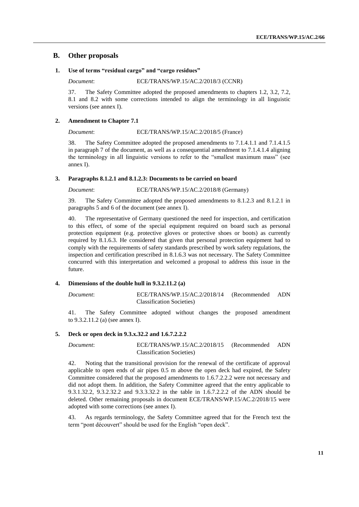### **B. Other proposals**

### **1. Use of terms "residual cargo" and "cargo residues"**

*Document*: ECE/TRANS/WP.15/AC.2/2018/3 (CCNR)

37. The Safety Committee adopted the proposed amendments to chapters 1.2, 3.2, 7.2, 8.1 and 8.2 with some corrections intended to align the terminology in all linguistic versions (see annex I).

#### **2. Amendment to Chapter 7.1**

#### *Document*: ECE/TRANS/WP.15/AC.2/2018/5 (France)

38. The Safety Committee adopted the proposed amendments to 7.1.4.1.1 and 7.1.4.1.5 in paragraph 7 of the document, as well as a consequential amendment to 7.1.4.1.4 aligning the terminology in all linguistic versions to refer to the "smallest maximum mass" (see annex I).

#### **3. Paragraphs 8.1.2.1 and 8.1.2.3: Documents to be carried on board**

*Document*: ECE/TRANS/WP.15/AC.2/2018/8 (Germany)

39. The Safety Committee adopted the proposed amendments to 8.1.2.3 and 8.1.2.1 in paragraphs 5 and 6 of the document (see annex I).

40. The representative of Germany questioned the need for inspection, and certification to this effect, of some of the special equipment required on board such as personal protection equipment (e.g. protective gloves or protective shoes or boots) as currently required by 8.1.6.3. He considered that given that personal protection equipment had to comply with the requirements of safety standards prescribed by work safety regulations, the inspection and certification prescribed in 8.1.6.3 was not necessary. The Safety Committee concurred with this interpretation and welcomed a proposal to address this issue in the future.

#### **4. Dimensions of the double hull in 9.3.2.11.2 (a)**

*Document*: ECE/TRANS/WP.15/AC.2/2018/14 (Recommended ADN Classification Societies)

41. The Safety Committee adopted without changes the proposed amendment to 9.3.2.11.2 (a) (see annex I).

#### **5. Deck or open deck in 9.3.x.32.2 and 1.6.7.2.2.2**

*Document*: ECE/TRANS/WP.15/AC.2/2018/15 (Recommended ADN Classification Societies)

42. Noting that the transitional provision for the renewal of the certificate of approval applicable to open ends of air pipes 0.5 m above the open deck had expired, the Safety Committee considered that the proposed amendments to 1.6.7.2.2.2 were not necessary and did not adopt them. In addition, the Safety Committee agreed that the entry applicable to 9.3.1.32.2, 9.3.2.32.2 and 9.3.3.32.2 in the table in 1.6.7.2.2.2 of the ADN should be deleted. Other remaining proposals in document ECE/TRANS/WP.15/AC.2/2018/15 were adopted with some corrections (see annex I).

43. As regards terminology, the Safety Committee agreed that for the French text the term "pont découvert" should be used for the English "open deck".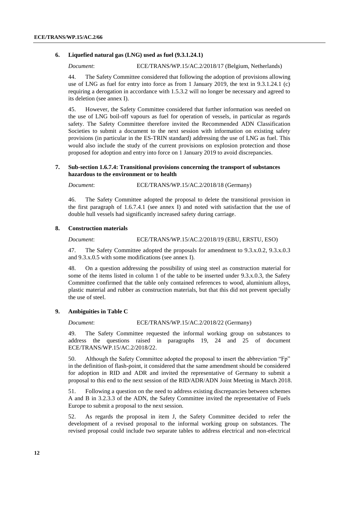#### **6. Liquefied natural gas (LNG) used as fuel (9.3.1.24.1)**

*Document*: ECE/TRANS/WP.15/AC.2/2018/17 (Belgium, Netherlands)

44. The Safety Committee considered that following the adoption of provisions allowing use of LNG as fuel for entry into force as from 1 January 2019, the text in 9.3.1.24.1 (c) requiring a derogation in accordance with 1.5.3.2 will no longer be necessary and agreed to its deletion (see annex I).

45. However, the Safety Committee considered that further information was needed on the use of LNG boil-off vapours as fuel for operation of vessels, in particular as regards safety. The Safety Committee therefore invited the Recommended ADN Classification Societies to submit a document to the next session with information on existing safety provisions (in particular in the ES-TRIN standard) addressing the use of LNG as fuel. This would also include the study of the current provisions on explosion protection and those proposed for adoption and entry into force on 1 January 2019 to avoid discrepancies.

#### **7. Sub-section 1.6.7.4: Transitional provisions concerning the transport of substances hazardous to the environment or to health**

*Document*: ECE/TRANS/WP.15/AC.2/2018/18 (Germany)

46. The Safety Committee adopted the proposal to delete the transitional provision in the first paragraph of 1.6.7.4.1 (see annex I) and noted with satisfaction that the use of double hull vessels had significantly increased safety during carriage.

#### **8. Construction materials**

#### *Document*: ECE/TRANS/WP.15/AC.2/2018/19 (EBU, ERSTU, ESO)

47. The Safety Committee adopted the proposals for amendment to 9.3.x.0.2, 9.3.x.0.3 and 9.3.x.0.5 with some modifications (see annex I).

48. On a question addressing the possibility of using steel as construction material for some of the items listed in column 1 of the table to be inserted under 9.3.x.0.3, the Safety Committee confirmed that the table only contained references to wood, aluminium alloys, plastic material and rubber as construction materials, but that this did not prevent specially the use of steel.

#### **9. Ambiguities in Table C**

#### *Document*: ECE/TRANS/WP.15/AC.2/2018/22 (Germany)

49. The Safety Committee requested the informal working group on substances to address the questions raised in paragraphs 19, 24 and 25 of document ECE/TRANS/WP.15/AC.2/2018/22.

50. Although the Safety Committee adopted the proposal to insert the abbreviation "Fp" in the definition of flash-point, it considered that the same amendment should be considered for adoption in RID and ADR and invited the representative of Germany to submit a proposal to this end to the next session of the RID/ADR/ADN Joint Meeting in March 2018.

51. Following a question on the need to address existing discrepancies between schemes A and B in 3.2.3.3 of the ADN, the Safety Committee invited the representative of Fuels Europe to submit a proposal to the next session.

52. As regards the proposal in item J, the Safety Committee decided to refer the development of a revised proposal to the informal working group on substances. The revised proposal could include two separate tables to address electrical and non-electrical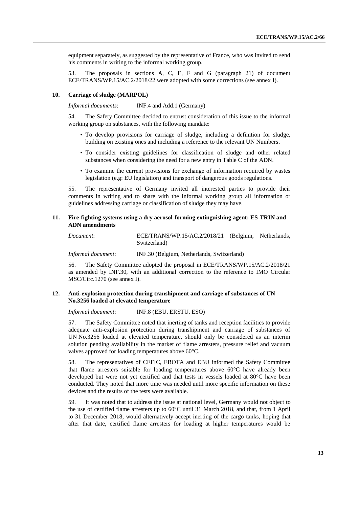equipment separately, as suggested by the representative of France, who was invited to send his comments in writing to the informal working group.

53. The proposals in sections A, C, E, F and G (paragraph 21) of document ECE/TRANS/WP.15/AC.2/2018/22 were adopted with some corrections (see annex I).

#### **10. Carriage of sludge (MARPOL)**

*Informal documents*: INF.4 and Add.1 (Germany)

54. The Safety Committee decided to entrust consideration of this issue to the informal working group on substances, with the following mandate:

- To develop provisions for carriage of sludge, including a definition for sludge, building on existing ones and including a reference to the relevant UN Numbers.
- To consider existing guidelines for classification of sludge and other related substances when considering the need for a new entry in Table C of the ADN.
- To examine the current provisions for exchange of information required by wastes legislation (e.g: EU legislation) and transport of dangerous goods regulations.

55. The representative of Germany invited all interested parties to provide their comments in writing and to share with the informal working group all information or guidelines addressing carriage or classification of sludge they may have.

#### **11. Fire-fighting systems using a dry aerosol-forming extinguishing agent: ES-TRIN and ADN amendments**

| Document: | ECE/TRANS/WP.15/AC.2/2018/21 (Belgium, Netherlands, |  |
|-----------|-----------------------------------------------------|--|
|           | Switzerland)                                        |  |

*Informal document*: INF.30 (Belgium, Netherlands, Switzerland)

56. The Safety Committee adopted the proposal in ECE/TRANS/WP.15/AC.2/2018/21 as amended by INF.30, with an additional correction to the reference to IMO Circular MSC/Circ.1270 (see annex I).

### **12. Anti-explosion protection during transhipment and carriage of substances of UN No.3256 loaded at elevated temperature**

*Informal document*: INF.8 (EBU, ERSTU, ESO)

57. The Safety Committee noted that inerting of tanks and reception facilities to provide adequate anti-explosion protection during transhipment and carriage of substances of UN No.3256 loaded at elevated temperature, should only be considered as an interim solution pending availability in the market of flame arresters, pressure relief and vacuum valves approved for loading temperatures above 60°C.

58. The representatives of CEFIC, EBOTA and EBU informed the Safety Committee that flame arresters suitable for loading temperatures above 60°C have already been developed but were not yet certified and that tests in vessels loaded at 80°C have been conducted. They noted that more time was needed until more specific information on these devices and the results of the tests were available.

59. It was noted that to address the issue at national level, Germany would not object to the use of certified flame arresters up to 60°C until 31 March 2018, and that, from 1 April to 31 December 2018, would alternatively accept inerting of the cargo tanks, hoping that after that date, certified flame arresters for loading at higher temperatures would be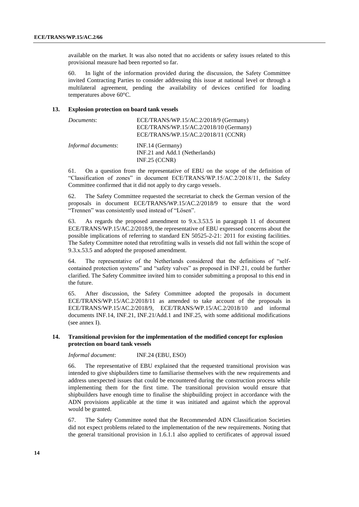available on the market. It was also noted that no accidents or safety issues related to this provisional measure had been reported so far.

60. In light of the information provided during the discussion, the Safety Committee invited Contracting Parties to consider addressing this issue at national level or through a multilateral agreement, pending the availability of devices certified for loading temperatures above 60°C.

#### **13. Explosion protection on board tank vessels**

| Documents:          | ECE/TRANS/WP.15/AC.2/2018/9 (Germany)<br>ECE/TRANS/WP.15/AC.2/2018/10 (Germany)<br>ECE/TRANS/WP.15/AC.2/2018/11 (CCNR) |
|---------------------|------------------------------------------------------------------------------------------------------------------------|
| Informal documents: | INF.14 (Germany)<br>INF.21 and Add.1 (Netherlands)<br>$INF.25$ (CCNR)                                                  |

61. On a question from the representative of EBU on the scope of the definition of "Classification of zones" in document ECE/TRANS/WP.15/AC.2/2018/11, the Safety Committee confirmed that it did not apply to dry cargo vessels.

62. The Safety Committee requested the secretariat to check the German version of the proposals in document ECE/TRANS/WP.15/AC.2/2018/9 to ensure that the word "Trennen" was consistently used instead of "Lösen".

63. As regards the proposed amendment to 9.x.3.53.5 in paragraph 11 of document ECE/TRANS/WP.15/AC.2/2018/9, the representative of EBU expressed concerns about the possible implications of referring to standard EN 50525-2-21: 2011 for existing facilities. The Safety Committee noted that retrofitting walls in vessels did not fall within the scope of 9.3.x.53.5 and adopted the proposed amendment.

64. The representative of the Netherlands considered that the definitions of "selfcontained protection systems" and "safety valves" as proposed in INF.21, could be further clarified. The Safety Committee invited him to consider submitting a proposal to this end in the future.

65. After discussion, the Safety Committee adopted the proposals in document ECE/TRANS/WP.15/AC.2/2018/11 as amended to take account of the proposals in ECE/TRANS/WP.15/AC.2/2018/9, ECE/TRANS/WP.15/AC.2/2018/10 and informal documents INF.14, INF.21, INF.21/Add.1 and INF.25, with some additional modifications (see annex I).

#### **14. Transitional provision for the implementation of the modified concept for explosion protection on board tank vessels**

*Informal document*: INF.24 (EBU, ESO)

66. The representative of EBU explained that the requested transitional provision was intended to give shipbuilders time to familiarise themselves with the new requirements and address unexpected issues that could be encountered during the construction process while implementing them for the first time. The transitional provision would ensure that shipbuilders have enough time to finalise the shipbuilding project in accordance with the ADN provisions applicable at the time it was initiated and against which the approval would be granted.

67. The Safety Committee noted that the Recommended ADN Classification Societies did not expect problems related to the implementation of the new requirements. Noting that the general transitional provision in 1.6.1.1 also applied to certificates of approval issued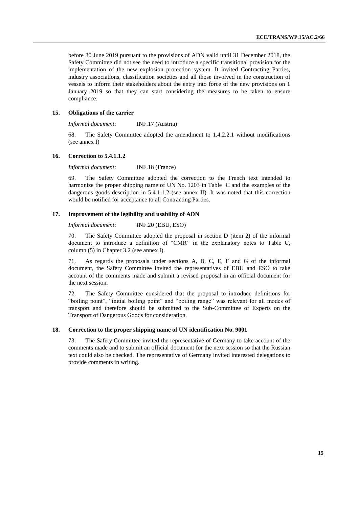before 30 June 2019 pursuant to the provisions of ADN valid until 31 December 2018, the Safety Committee did not see the need to introduce a specific transitional provision for the implementation of the new explosion protection system. It invited Contracting Parties, industry associations, classification societies and all those involved in the construction of vessels to inform their stakeholders about the entry into force of the new provisions on 1 January 2019 so that they can start considering the measures to be taken to ensure compliance.

#### **15. Obligations of the carrier**

*Informal document*: INF.17 (Austria)

68. The Safety Committee adopted the amendment to 1.4.2.2.1 without modifications (see annex I)

#### **16. Correction to 5.4.1.1.2**

*Informal document*: INF.18 (France)

69. The Safety Committee adopted the correction to the French text intended to harmonize the proper shipping name of UN No. 1203 in Table C and the examples of the dangerous goods description in 5.4.1.1.2 (see annex II). It was noted that this correction would be notified for acceptance to all Contracting Parties.

#### **17. Improvement of the legibility and usability of ADN**

*Informal document*: INF.20 (EBU, ESO)

70. The Safety Committee adopted the proposal in section D (item 2) of the informal document to introduce a definition of "CMR" in the explanatory notes to Table C, column (5) in Chapter 3.2 (see annex I).

71. As regards the proposals under sections A, B, C, E, F and G of the informal document, the Safety Committee invited the representatives of EBU and ESO to take account of the comments made and submit a revised proposal in an official document for the next session.

72. The Safety Committee considered that the proposal to introduce definitions for "boiling point", "initial boiling point" and "boiling range" was relevant for all modes of transport and therefore should be submitted to the Sub-Committee of Experts on the Transport of Dangerous Goods for consideration.

### **18. Correction to the proper shipping name of UN identification No. 9001**

73. The Safety Committee invited the representative of Germany to take account of the comments made and to submit an official document for the next session so that the Russian text could also be checked. The representative of Germany invited interested delegations to provide comments in writing.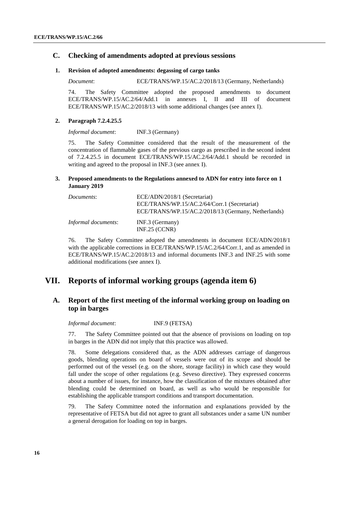### **C. Checking of amendments adopted at previous sessions**

#### **1. Revision of adopted amendments: degassing of cargo tanks**

*Document*: ECE/TRANS/WP.15/AC.2/2018/13 (Germany, Netherlands)

74. The Safety Committee adopted the proposed amendments to document ECE/TRANS/WP.15/AC.2/64/Add.1 in annexes I, II and III of document ECE/TRANS/WP.15/AC.2/2018/13 with some additional changes (see annex I).

#### **2. Paragraph 7.2.4.25.5**

*Informal document*: INF.3 (Germany)

75. The Safety Committee considered that the result of the measurement of the concentration of flammable gases of the previous cargo as prescribed in the second indent of 7.2.4.25.5 in document ECE/TRANS/WP.15/AC.2/64/Add.1 should be recorded in writing and agreed to the proposal in INF.3 (see annex I).

### **3. Proposed amendments to the Regulations annexed to ADN for entry into force on 1 January 2019**

| Documents:                 | ECE/ADN/2018/1 (Secretariat)<br>ECE/TRANS/WP.15/AC.2/64/Corr.1 (Secretariat)<br>ECE/TRANS/WP.15/AC.2/2018/13 (Germany, Netherlands) |
|----------------------------|-------------------------------------------------------------------------------------------------------------------------------------|
| <i>Informal documents:</i> | $INF.3$ (Germany)<br>$INF.25$ (CCNR)                                                                                                |

76. The Safety Committee adopted the amendments in document ECE/ADN/2018/1 with the applicable corrections in ECE/TRANS/WP.15/AC.2/64/Corr.1, and as amended in ECE/TRANS/WP.15/AC.2/2018/13 and informal documents INF.3 and INF.25 with some additional modifications (see annex I).

# **VII. Reports of informal working groups (agenda item 6)**

# **A. Report of the first meeting of the informal working group on loading on top in barges**

*Informal document*: INF.9 (FETSA)

77. The Safety Committee pointed out that the absence of provisions on loading on top in barges in the ADN did not imply that this practice was allowed.

78. Some delegations considered that, as the ADN addresses carriage of dangerous goods, blending operations on board of vessels were out of its scope and should be performed out of the vessel (e.g. on the shore, storage facility) in which case they would fall under the scope of other regulations (e.g. Seveso directive). They expressed concerns about a number of issues, for instance, how the classification of the mixtures obtained after blending could be determined on board, as well as who would be responsible for establishing the applicable transport conditions and transport documentation.

79. The Safety Committee noted the information and explanations provided by the representative of FETSA but did not agree to grant all substances under a same UN number a general derogation for loading on top in barges.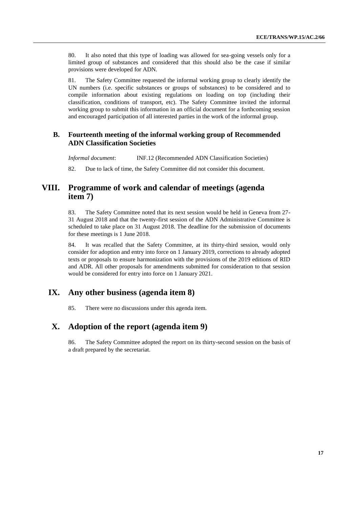80. It also noted that this type of loading was allowed for sea-going vessels only for a limited group of substances and considered that this should also be the case if similar provisions were developed for ADN.

81. The Safety Committee requested the informal working group to clearly identify the UN numbers (i.e. specific substances or groups of substances) to be considered and to compile information about existing regulations on loading on top (including their classification, conditions of transport, etc). The Safety Committee invited the informal working group to submit this information in an official document for a forthcoming session and encouraged participation of all interested parties in the work of the informal group.

# **B. Fourteenth meeting of the informal working group of Recommended ADN Classification Societies**

*Informal document*: INF.12 (Recommended ADN Classification Societies) 82. Due to lack of time, the Safety Committee did not consider this document.

# **VIII. Programme of work and calendar of meetings (agenda item 7)**

83. The Safety Committee noted that its next session would be held in Geneva from 27- 31 August 2018 and that the twenty-first session of the ADN Administrative Committee is scheduled to take place on 31 August 2018. The deadline for the submission of documents for these meetings is 1 June 2018.

84. It was recalled that the Safety Committee, at its thirty-third session, would only consider for adoption and entry into force on 1 January 2019, corrections to already adopted texts or proposals to ensure harmonization with the provisions of the 2019 editions of RID and ADR. All other proposals for amendments submitted for consideration to that session would be considered for entry into force on 1 January 2021.

# **IX. Any other business (agenda item 8)**

85. There were no discussions under this agenda item.

# **X. Adoption of the report (agenda item 9)**

86. The Safety Committee adopted the report on its thirty-second session on the basis of a draft prepared by the secretariat.